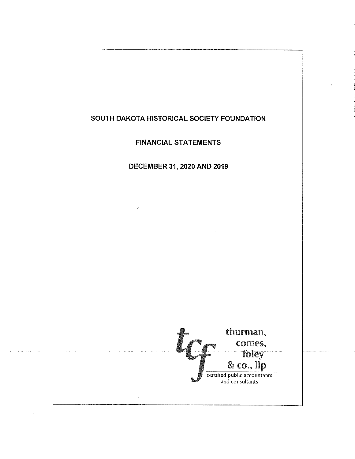FINANCIAL STATEMENTS

# DECEMBER 31. 2020 AND 2019

thurman, comes, foley  $\&$  co.,  $\mathbf{lip}$ **a**<br>certified public accountants<br>and consultants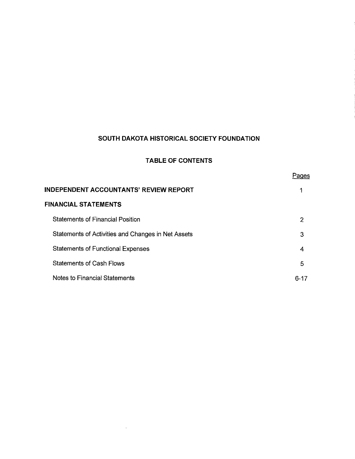# TABLE OF CONTENTS

|  | г |  |
|--|---|--|
|  |   |  |

| INDEPENDENT ACCOUNTANTS' REVIEW REPORT             |      |  |
|----------------------------------------------------|------|--|
| FINANCIAL STATEMENTS                               |      |  |
| <b>Statements of Financial Position</b>            | 2    |  |
| Statements of Activities and Changes in Net Assets | 3    |  |
| <b>Statements of Functional Expenses</b>           | 4    |  |
| Statements of Cash Flows                           | 5    |  |
| Notes to Financial Statements                      | 6-17 |  |

 $\sim$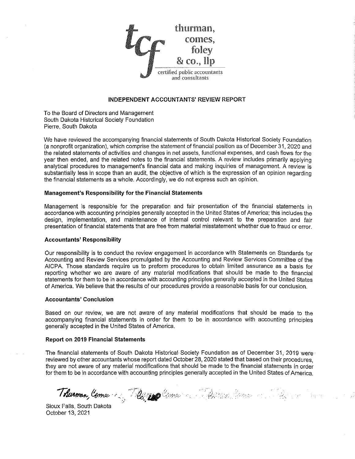

#### INDEPENDENT ACCOUNTANTS' REVIEW REPORT

To the Board of Directors and Management South Dakota Historicaf Society Foundation Pierre, South Dakota

We have reviewed the accompanying financial statements of South Dakota Historicai Society Foundation (a nonprofit organization), which comprise the statement of financial position as of December 31, 2020 and the related statements of activities and changes in net assets, functionai expenses, and cash flows for the year then ended, and the related notes to the financial statements. A review inciudes primariiy applying analytical procedures to management's financial data and making inquiries of management. A review is substantially less in scope than an audit, the objective of which is the expression of an opinion regarding the financial statements as a whole. Accordingly, we do not express such an opinion.

#### Management's Responsibility for the Financial Statements

Management is responsible for the preparation and fair presentation of the financial statements in accordance with accounting principles generally accepted in the United States of America; this includes the design, implementation, and maintenance of internal control relevant to the preparation and fair presentation of financial statements that are free from material misstatement whether due to fraud or error.

#### Accountants' Responsibility

Our responsibility is to conduct the review engagement in accordance with Statements on Standards for Accounting and Review Services promulgated by the Accounting and Review Services Committee of the AiCPA. Those standards require us to preform procedures to obtain limited assurance as a basis for reporting whether we are aware of any material modifications that should be made to the financial statements for them to be in accordance with accounting principies generally accepted in the United States of America. We believe that the results of our procedures provide a reasonable basis for our conclusion.

#### Accountants' Conclusion

Based on our review, we are not aware of any material modifications that should be made to the accompanying financial statements in order for them to be in accordance with accounting principles generally accepted in the United States of America.

#### Report on 2019 Financial Statements

The financial statements of South Dakota Historical Society Foundation as of December 31, 2019 were reviewed by other accountants whose report dated October 28,2020 stated that based on their procedures, they are not aware of any material modifications that should be made to the financial statements in order for them to be in accordance with accounting principies generally accepted in the United States of America.

^ ^9n^^ l-'i>^^-'' •••'.:. .• .- -^A:l"'

Sioux Fails, South Dakota October 13, 2021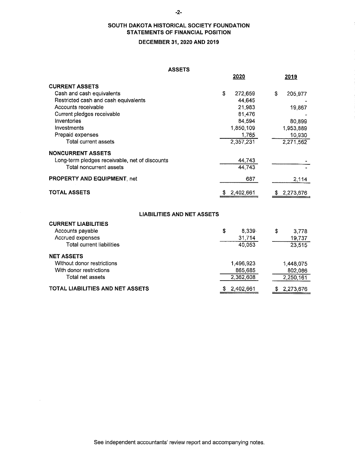# SOUTH DAKOTA HISTORICAL SOCIETY FOUNDATION STATEMENTS OF FINANCIAL POSITION

# DECEMBER 31, 2020 AND 2019

#### ASSETS

|                                                | <b>ASSETS</b>                     |               |
|------------------------------------------------|-----------------------------------|---------------|
|                                                | 2020                              | 2019          |
| <b>CURRENT ASSETS</b>                          |                                   |               |
| Cash and cash equivalents                      | \$<br>272,659                     | \$<br>205,977 |
| Restricted cash and cash equivalents           | 44,645                            |               |
| Accounts receivable                            | 21,983                            | 19,867        |
| Current pledges receivable                     | 81 476                            |               |
| Inventories                                    | 84,594                            | 80,899        |
| Investments                                    | 1,850,109                         | 1,953,889     |
| Prepaid expenses                               | 1765                              | 10,930        |
| Total current assets                           | 2,357,231                         | 2,271,562     |
| <b>NONCURRENT ASSETS</b>                       |                                   |               |
| Long-term pledges receivable, net of discounts | 44,743                            |               |
| Total noncurrent assets                        | 44 743                            |               |
| PROPERTY AND EQUIPMENT, net                    | 687                               | 2,114         |
| <b>TOTAL ASSETS</b>                            | \$2,402,661                       | \$2,273,676   |
|                                                |                                   |               |
|                                                | <b>LIABILITIES AND NET ASSETS</b> |               |
| <b>CURRENT LIABILITIES</b>                     |                                   |               |
| Accounts payable                               | \$<br>8 3 3 9                     | \$<br>3.778   |
| Accrued expenses                               | 31,714                            | 19,737        |
| <b>Total current liabilities</b>               | 40,053                            | 23 515        |
| <b>NET ASSETS</b>                              |                                   |               |
| Without donor restrictions                     | 1,496,923                         | 1,448,075     |
| With donor restrictions                        | 865 685                           | 802,086       |
| Total net assets                               | 2,362,608                         | 2,250,161     |

\$ 2 ,402,661

\$ 2 ,273 ,676

#### TOTAL LIABILITIES AND NET ASSETS

 $\bar{z}$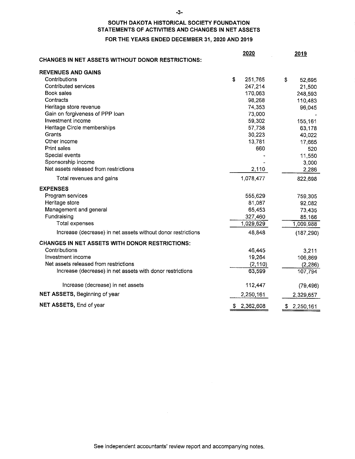#### -3-

# SOUTH DAKOTA HISTORICAL SOCIETY FOUNDATION STATEMENTS OF ACTIVITIES AND CHANGES IN NET ASSETS

#### FOR THE YEARS ENDED DECEMBER 31, 2020 AND 2019

| <b>CHANGES IN NET ASSETS WITHOUT DONOR RESTRICTIONS:</b>     | 2020          | 2019            |
|--------------------------------------------------------------|---------------|-----------------|
| <b>REVENUES AND GAINS</b>                                    |               |                 |
| Contributions                                                | \$<br>251,765 | \$<br>52,695    |
| <b>Contributed services</b>                                  | 247,214       | 21,500          |
| Book sales                                                   | 170,063       | 248,593         |
| Contracts                                                    | 98,268        | 110,483         |
| Heritage store revenue                                       | 74,353        | 96,045          |
| Gain on forgiveness of PPP loan                              | 73,000        |                 |
| Investment income                                            | 59,302        | 155,161         |
| Heritage Circle memberships                                  | 57,738        | 63,178          |
| Grants                                                       | 30,223        | 40,022          |
| Other income                                                 | 13,781        | 17,665          |
| <b>Print sales</b>                                           | 660           | 520             |
| Special events                                               |               | 11,550          |
| Sponsorship income                                           |               | 3,000           |
| Net assets released from restrictions                        | 2,110         | 2,286           |
| Total revenues and gains                                     | 1,078,477     | 822,698         |
| <b>EXPENSES</b>                                              |               |                 |
| Program services                                             | 555,629       | 759,305         |
| Heritage store                                               | 81,087        | 92,082          |
| Management and general                                       | 65,453        | 73,435          |
| Fundraising                                                  | 327,460       | 85,166          |
| <b>Total expenses</b>                                        | 1,029,629     | 1,009,988       |
| Increase (decrease) in net assets without donor restrictions | 48,848        | (187, 290)      |
| <b>CHANGES IN NET ASSETS WITH DONOR RESTRICTIONS:</b>        |               |                 |
| Contributions                                                | 46,445        | 3,211           |
| Investment income                                            | 19,264        | 106,869         |
| Net assets released from restrictions                        | (2, 110)      | (2, 286)        |
| Increase (decrease) in net assets with donor restrictions    | 63,599        | 107,794         |
| Increase (decrease) in net assets                            | 112,447       | (79, 496)       |
| NET ASSETS, Beginning of year                                | 2,250,161     | 2,329,657       |
| NET ASSETS, End of year                                      | \$2,362,608   | \$<br>2,250,161 |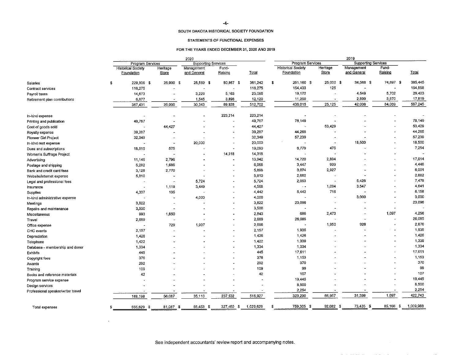#### STATEMENTS OF FUNCTIONAL EXPENSES

#### FOR THE YEARS ENDED DECEMBER 31, 2020 AND 2019

|                                    | 2020                                    |                          |                            | 2019                     |           |                                         |                                         |                          |                           |                  |           |
|------------------------------------|-----------------------------------------|--------------------------|----------------------------|--------------------------|-----------|-----------------------------------------|-----------------------------------------|--------------------------|---------------------------|------------------|-----------|
|                                    | Program Services                        |                          | <b>Supporting Services</b> |                          |           | Program Services<br>Supporting Services |                                         |                          |                           |                  |           |
|                                    | <b>Historical Society</b><br>Foundation | Heritage<br><b>Store</b> | Management<br>and General  | Fund-<br>Raising         | Total     |                                         | <b>Historical Society</b><br>Foundation | Heritage<br>Store        | Management<br>and General | Fund-<br>Raising | Total     |
| Salaries                           | \$<br>229,806 \$                        | 25,000 \$                | 25,569 \$                  | 80,867 \$                | 361,242   | \$                                      | 251,160 \$                              | 25,000 \$                | 34,588 \$                 | 74,697 \$        | 385,445   |
| Contract services                  | 116,275                                 |                          |                            |                          | 116,275   |                                         | 154,433                                 | 125                      |                           |                  | 154,558   |
| Payroll taxes                      | 14,673                                  |                          | 3,229                      | 5,163                    | 23,065    |                                         | 19,172                                  |                          | 4,549                     | 5,702            | 29,423    |
| Retirement plan contributions      | 6,677                                   | $\rightarrow$            | 1,545                      | 3,898                    | 12,120    |                                         | 11,250                                  | $\blacksquare$           | 2,899                     | 3,670            | 17,819    |
|                                    | 367,431                                 | 25,000                   | 30,343                     | 89,928                   | 512,702   |                                         | 436,015                                 | 25,125                   | 42,036                    | 84,069           | 587,245   |
| In-kind expense                    |                                         |                          |                            | 223,214                  | 223,214   |                                         | $\sim$                                  |                          |                           |                  |           |
| Printing and publication           | 49,767                                  |                          |                            | $\blacksquare$           | 49,767    |                                         | 78,149                                  |                          |                           |                  | 78,149    |
| Cost of goods sold                 |                                         | 44,427                   |                            |                          | 44,427    |                                         | $\sim$                                  | 53,429                   |                           |                  | 53,429    |
| Royalty expense                    | 39,287                                  |                          |                            |                          | 39,287    |                                         | 44.265                                  |                          |                           |                  | 44,265    |
| Pioneer Girl Project               | 32,349                                  |                          |                            |                          | 32,349    |                                         | 57,239                                  |                          |                           |                  | 57.239    |
| In-kind rent expense               |                                         |                          | 20,000                     | $\overline{\phantom{a}}$ | 20,000    |                                         |                                         | $\overline{\phantom{a}}$ | 18,500                    |                  | 18,500    |
| Dues and subscriptions             | 18,515                                  | 575                      |                            | $\overline{a}$           | 19,090    |                                         | 6,779                                   | 475                      |                           |                  | 7.254     |
| Women's Suffrage Project           |                                         |                          |                            | 14,318                   | 14,318    |                                         |                                         |                          |                           |                  |           |
| Advertising                        | 11,146                                  | 2,796                    |                            |                          | 13,942    |                                         | 14,720                                  | 2,894                    |                           |                  | 17,614    |
| Postage and shipping               | 5,282                                   | 1,686                    |                            | $\blacksquare$           | 6,968     |                                         | 3,447                                   | 999                      |                           |                  | 4,446     |
| Bank and credit card fees          | 3,128                                   | 2,770                    |                            |                          | 5,898     |                                         | 3,074                                   | 2,927                    |                           |                  | 6,001     |
| Website/internet expense           | 5,810                                   |                          |                            |                          | 5,810     |                                         | 2,682                                   |                          |                           |                  | 2,682     |
| Legal and professional fees        |                                         | $\overline{\phantom{a}}$ | 5,724                      |                          | 5,724     |                                         | 2,053                                   | ۰.                       | 5,426                     |                  | 7,479     |
| Insurance                          |                                         | 1,119                    | 3,449                      |                          | 4,568     |                                         | $\sim$ $-$                              | 1,094                    | 3,547                     |                  | 4,641     |
| Supplies                           | 4,307                                   | 135                      |                            |                          | 4,442     |                                         | 5,442                                   | 716                      |                           |                  | 6,158     |
| In-kind administrative expense     |                                         |                          | 4,000                      | $\blacksquare$           | 4,000     |                                         |                                         |                          | 3,000                     |                  | 3,000     |
| Meetings                           | 3,822                                   |                          |                            |                          | 3,822     |                                         | 23,096                                  | ÷.                       |                           |                  | 23,096    |
| Repairs and maintenance            | 3,500                                   |                          |                            |                          | 3,500     |                                         |                                         |                          |                           |                  |           |
| Miscellaneous                      | 993                                     | 1,850                    |                            |                          | 2,843     |                                         | 686                                     | 2,473                    |                           | 1,097            | 4,256     |
| Travel                             | 2,689                                   | $\sim$                   |                            |                          | 2,689     |                                         | 26,085                                  |                          |                           |                  | 26,085    |
| Office expense                     |                                         | 729                      | 1,937                      |                          | 2,666     |                                         |                                         | 1,950                    | 926                       |                  | 2,876     |
| CHC events                         | 2.157                                   |                          |                            |                          | 2,157     |                                         | 1,935                                   |                          |                           |                  | 1,935     |
| Depreciation                       | 1,426                                   |                          |                            |                          | 1,426     |                                         | 1,426                                   |                          |                           |                  | 1,426     |
| Telephone                          | 1.422                                   |                          |                            |                          | 1,422     |                                         | 1,339                                   |                          |                           |                  | 1,339     |
| Database - membership and donor    | 1,334                                   |                          |                            |                          | 1,334     |                                         | 1,334                                   |                          |                           |                  | 1,334     |
| Exhibits                           | 445                                     |                          |                            | $\overline{\phantom{a}}$ | 445       |                                         | 17,611                                  |                          |                           |                  | 17,611    |
| Copyright fees                     | 376                                     |                          |                            |                          | 376       |                                         | 1,153                                   |                          |                           |                  | 1,153     |
| Awards                             | 292                                     |                          |                            |                          | 292       |                                         | 370                                     |                          |                           |                  | 370       |
| Training                           | 109                                     |                          |                            |                          | 109       |                                         | 99                                      |                          |                           |                  | 99        |
| Books and reference materials      | 42                                      |                          |                            |                          | 42        |                                         | 107                                     |                          |                           |                  | 107       |
| Program service expense            |                                         |                          |                            |                          |           |                                         | 19,445                                  |                          |                           |                  | 19,445    |
|                                    |                                         |                          |                            |                          |           |                                         | 8,500                                   |                          |                           |                  | 8,500     |
| Design services                    |                                         |                          |                            |                          |           |                                         | 2.254                                   |                          |                           |                  | 2,254     |
| Professional speaker/writer travel | 188,198                                 | 56,087                   | 35,110                     | 237,532                  | 516,927   |                                         | 323,290                                 | 66,957                   | 31,399                    | 1,097            | 422,743   |
| Total expenses                     | 555,629 \$<br>s                         | 81,087 \$                | 65,453 \$                  | 327,460 \$               | 1,029,629 | s                                       | 759,305 \$                              | 92,082 \$                | 73,435 \$                 | 85,166 \$        | 1,009.988 |

 $\sim$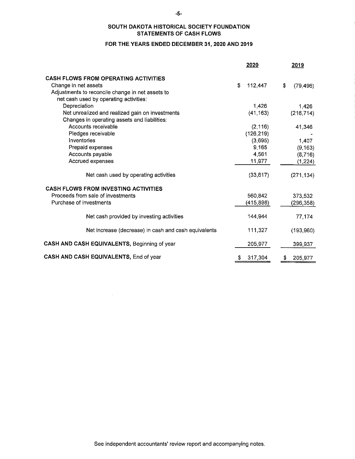# SOUTH DAKOTA HISTORICAL SOCIETY FOUNDATION STATEMENTS OF CASH FLOWS

#### FOR THE YEARS ENDED DECEMBER 31, 2020 AND 2019

|                                                                                                                                                                   | 2020          | 2019            |
|-------------------------------------------------------------------------------------------------------------------------------------------------------------------|---------------|-----------------|
| <b>CASH FLOWS FROM OPERATING ACTIVITIES</b><br>Change in net assets<br>Adjustments to reconcile change in net assets to<br>net cash used by operating activities: | \$<br>112,447 | \$<br>(79, 496) |
| Depreciation                                                                                                                                                      | 1,426         | 1,426           |
| Net unrealized and realized gain on investments<br>Changes in operating assets and liabilities:                                                                   | (41, 163)     | (216, 714)      |
| Accounts receivable                                                                                                                                               | (2, 116)      | 41,346          |
| Pledges receivable                                                                                                                                                | (126, 219)    |                 |
| Inventories                                                                                                                                                       | (3.695)       | 1 407           |
| Prepaid expenses                                                                                                                                                  | 9,165         | (9, 163)        |
| Accounts payable                                                                                                                                                  | 4,561         | (8,716)         |
| Accrued expenses                                                                                                                                                  | 11,977        | (1, 224)        |
| Net cash used by operating activities                                                                                                                             | (33, 617)     | (271, 134)      |
| <b>CASH FLOWS FROM INVESTING ACTIVITIES</b>                                                                                                                       |               |                 |
| Proceeds from sale of investments                                                                                                                                 | 560,842       | 373,532         |
| Purchase of investments                                                                                                                                           | (415, 898)    | (296, 358)      |
| Net cash provided by investing activities                                                                                                                         | 144,944       | 77.174          |
| Net increase (decrease) in cash and cash equivalents                                                                                                              | 111,327       | (193, 960)      |
| CASH AND CASH EQUIVALENTS, Beginning of year                                                                                                                      | 205,977       | 399,937         |
| CASH AND CASH EQUIVALENTS, End of year                                                                                                                            | 317,304<br>S. | \$<br>205 977   |

 $\sim$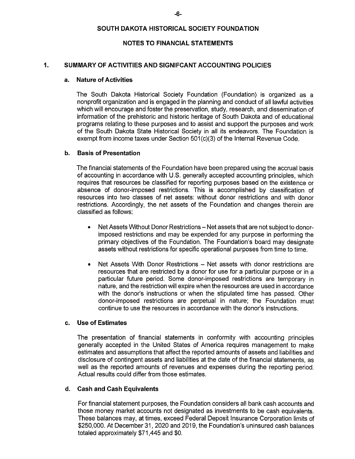#### NOTES TO FINANCIAL STATEMENTS

#### 1. SUMMARY OF ACTIVITIES AND SIGNIFCANT ACCOUNTING POLICIES

#### a. Nature of Activities

The South Dakota Historical Society Foundation (Foundation) is organized as a nonprofit organization and is engaged in the planning and conduct of ail lawful activities which will encourage and foster the preservation, study, research, and dissemination of information of the prehistoric and historic heritage of South Dakota and of educational programs relating to these purposes and to assist and support the purposes and work of the South Dakota State Historica! Society in ail its endeavors. The Foundation is exempt from income taxes under Section 501(c)(3) of the Internal Revenue Code.

### b. Basis of Presentation

The financial statements of the Foundation have been prepared using the accrual basis of accounting in accordance with U.S. generally accepted accounting principles, which requires that resources be classified for reporting purposes based on the existence or absence of donor-imposed restrictions. This is accompiished by classification of resources into two ciasses of net assets: without donor restrictions and with donor restrictions. Accordingly, the net assets of the Foundation and changes therein are classified as follows:

- Net Assets Without Donor Restrictions Net assets that are not subject to donorimposed restrictions and may be expended for any purpose in performing the primary objectives of the Foundation. The Foundation's board may designate assets without restrictions for specific operationa! purposes from time to time.
- Net Assets With Donor Restrictions Net assets with donor restrictions are resources that are restricted by a donor for use for a particular purpose or in a particular future period. Some donor-imposed restrictions are temporary in nature, and the restriction will expire when the resources are used in accordance with the donor's instructions or when the stipulated time has passed. Other donor-imposed restrictions are perpetuai in nature; the Foundation must continue to use the resources in accordance with the donor's instructions.

### c. Use of Estimates

The presentation of financial statements in conformity with accounting principles generally accepted in the United States of America requires management to make estimates and assumptions that affect the reported amounts of assets and liabilities and disclosure of contingent assets and liabilities at the date of the financial statements, as well as the reported amounts of revenues and expenses during the reporting period. Actual results could differ from those estimates.

#### d. Cash and Cash Equivalents

For financial statement purposes, the Foundation considers all bank cash accounts and those money market accounts not designated as investments to be cash equivalents. These balances may, at times, exceed Federal Deposit Insurance Corporation limits of \$250,000. At December 31, 2020 and 2019, the Foundation's uninsured cash balances totaled approximately \$71,445 and \$0.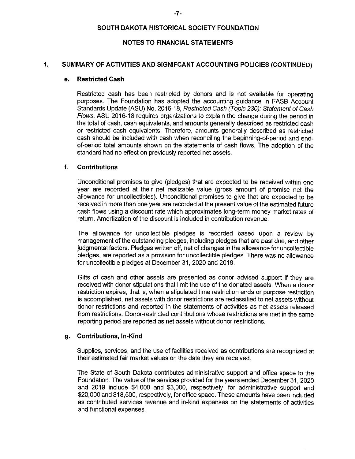#### NOTES TO FINANCIAL STATEMENTS

#### 1. SUMMARY OF ACTIVITIES AND SIGNIFCANT ACCOUNTING POLICIES (CONTINUED)

#### e. Restricted Cash

Restricted cash has been restricted by donors and is not available for operating purposes. The Foundation has adopted the accounting guidance in FASB Account Standards Update (ASU) No. 2016-18, Restricted Cash (Topic 230): Statement of Cash Flows. ASU 2016-18 requires organizations to explain the change during the period in the total of cash, cash equivalents, and amounts generally described as restricted cash or restricted cash equivalents. Therefore, amounts generally described as restricted cash should be included with cash when reconciling the beginning-of-period and endof-period total amounts shown on the statements of cash flows. The adoption of the standard had no effect on previously reported net assets.

#### f. Contributions

Unconditional promises to give (pledges) that are expected to be received within one year are recorded at their net realizable value (gross amount of promise net the allowance for uncoliectibles). Unconditional promises to give that are expected to be received in more than one year are recorded at the present value of the estimated future cash flows using a discount rate which approximates long-term money market rates of return. Amortization of the discount is included in contribution revenue.

The allowance for uncoflectible pledges is recorded based upon a review by management of the outstanding pledges, including pledges that are past due, and other judgmental factors. Pledges written off, net of changes in the allowance for uncoliectible pledges, are reported as a provision for uncollectible pledges. There was no allowance for uncollectible pledges at December 31, 2020 and 2019.

Gifts of cash and other assets are presented as donor advised support if they are received with donor stipulations that limit the use of the donated assets. When a donor restriction expires, that is, when a stipulated time restriction ends or purpose restriction is accomplished, net assets with donor restrictions are reclassified to net assets without donor restrictions and reported in the statements of activities as net assets released from restrictions. Donor-restricted contributions whose restrictions are met in the same reporting period are reported as net assets without donor restrictions.

### g. Contributions, In-Kind

Supplies, services, and the use of facilities received as contributions are recognized at their estimated fair market values on the date they are received.

The State of South Dakota contributes administrative support and office space to the Foundation. The value of the services provided for the years ended December 31, 2020 and 2019 include \$4,000 and \$3,000, respectively, for administrative support and \$20,000 and \$18,500, respectively, for office space. These amounts have been included as contributed services revenue and in-kind expenses on the statements of activities and functional expenses.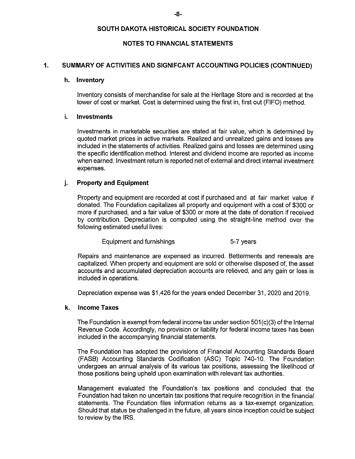#### NOTES TO FINANCIAL STATEMENTS

#### 1. SUMMARY OF ACTIVITIES AND SIGNIFCANT ACCOUNTING POLICIES (CONTINUED)

#### h. Inventory

Inventory consists of merchandise for sale at the Heritage Store and is recorded at the lower of cost or market. Cost is determined using the first in, first out (FIFO) method.

#### **Investments** ì.

Investments in marketable securities are stated at fair value, which is determined by quoted market prices in active markets. Realized and unrealized gains and losses are included in the statements of activities. Realized gains and losses are determined using the specific identification method. Interest and dividend income are reported as income when earned. Investment return is reported net of external and direct internal investment expenses.

#### j. Property and Equipment

Property and equipment are recorded at cost if purchased and at fair market value if donated. The Foundation capitalizes all property and equipment with a cost of \$300 or more if purchased, and a fair value of \$300 or more at the date of donation if received by contribution. Depreciation is computed using the straight-iine method over the following estimated useful lives:

Equipment and furnishings The Section of the S-7 years

Repairs and maintenance are expensed as incurred. Betterments and renewals are capitalized. When property and equipment are sold or otherwise disposed of, the asset accounts and accumulated depreciation accounts are relieved, and any gain or loss is included in operations.

Depreciation expense was \$1,426 for the years ended December 31, 2020 and 2019.

# k. Income Taxes

The Foundation is exempt from federal income tax under section 501 (c)(3) of the Internal Revenue Code. Accordingly, no provision or liability for federal income taxes has been included in the accompanying financial statements.

The Foundation has adopted the provisions of Financial Accounting Standards Board (FASB) Accounting Standards Codification (ASC) Topic 740-10. The Foundation undergoes an annual analysis of its various tax positions, assessing the likelihood of those positions being upheld upon examination with relevant tax authorities.

Management evaluated the Foundation's tax positions and concluded that the Foundation had taken no uncertain tax positions that require recognition in the financial statements. The Foundation files information returns as a tax-exempt organization. Should that status be challenged in the future, all years since inception could be subject to review by the 1RS.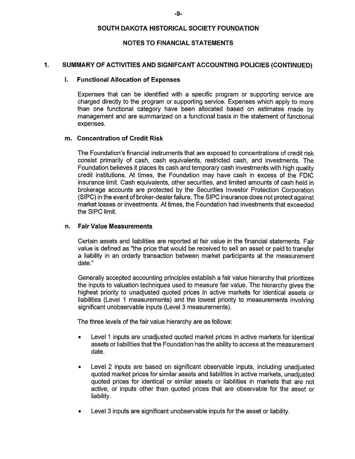#### NOTES TO FINANCIAL STATEMENTS

#### 1. SUMMARY OF ACTIVITIES AND SIGNIFCANT ACCOUNTING POLICIES (CONTINUED)

#### I. Functional Allocation of Expenses

Expenses that can be identified with a specific program or supporting service are charged directly to the program or supporting service. Expenses which apply to more than one functional category have been allocated based on estimates made by management and are summarized on a functional basis in the statement of functional expenses.

#### m. Concentration of Credit Risk

The Foundation's financial instruments that are exposed to concentrations of credit risk consist primarily of cash, cash equivalents, restricted cash, and investments. The Foundation believes it places its cash and temporary cash investments with high quality credit institutions. At times, the Foundation may have cash in excess of the FDIC insurance limit. Cash equivalents, other securities, and limited amounts of cash held in brokerage accounts are protected by the Securities Investor Protection Corporation (SIPC) in the event of broker-deaier failure. The SIPC insurance does not protect against market losses or investments. At times, the Foundation had investments that exceeded the SIPC limit.

#### n. Fair Value Measurements

Certain assets and iiabilities are reported at fair value in the financial statements. Fair value is defined as "the price that would be received to sell an asset or paid to transfer a liability in an orderly transaction between market participants at the measurement date."

Generally accepted accounting principles establish a fair value hierarchy that prioritizes the inputs to valuation techniques used to measure fair value. The hierarchy gives the highest priority to unadjusted quoted prices in active markets for identical assets or liabilities (Level 1 measurements) and the lowest priority to measurements involving significant unobservabie inputs (Level 3 measurements).

The three levels of the fair value hierarchy are as follows:

- Levei 1 inputs are unadjusted quoted market prices in active markets for identical assets or liabilities that the Foundation has the ability to access at the measurement date.
- Level 2 inputs are based on significant observable inputs, including unadjusted quoted market prices for similar assets and liabilities in active markets, unadjusted quoted prices for identical or similar assets or liabilities in markets that are not active, or inputs other than quoted prices that are observable for the asset or liability.
- Level 3 inputs are significant unobservable inputs for the asset or liability.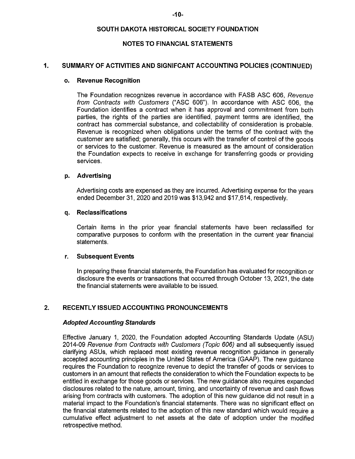#### NOTES TO FINANCIAL STATEMENTS

#### 1. SUMMARY OF ACTIVITIES AND SIGNIFCANT ACCOUNTING POLICIES (CONTINUED)

#### o. Revenue Recognition

The Foundation recognizes revenue in accordance with FASB ASC 606, Revenue from Contracts with Customers ("ASC 606"). In accordance with ASC 606, the Foundation identifies a contract when it has approval and commitment from both parties, the rights of the parties are identified, payment terms are identified, the contract has commercial substance, and collectability of consideration is probable. Revenue is recognized when obligations under the terms of the contract with the customer are satisfied; generally, this occurs with the transfer of control of the goods or services to the customer. Revenue is measured as the amount of consideration the Foundation expects to receive in exchange for transferring goods or providing services.

### p. Advertising

Advertising costs are expensed as they are incurred. Advertising expense for the years ended December 31, 2020 and 2019 was \$13,942 and \$17,614, respectively.

#### q. Reclassifications

Certain items in the prior year financial statements have been reclassified for comparative purposes to conform with the presentation in the current year financial statements.

### r. Subsequent Events

In preparing these financial statements, the Foundation has evaluated for recognition or disclosure the events or transactions that occurred through October 13, 2021, the date the financial statements were available to be issued.

# 2. RECENTLY ISSUED ACCOUNTING PRONOUNCEMENTS

#### Adopted Accounting Standards

Effective January 1, 2020, the Foundation adopted Accounting Standards Update (ASU) 2014-09 Revenue from Contracts with Customers (Topic 606) and all subsequently issued clarifying ASUs, which replaced most existing revenue recognition guidance in generally accepted accounting principles in the United States of America (GAAP). The new guidance requires the Foundation to recognize revenue to depict the transfer of goods or services to customers in an amount that reflects the consideration to which the Foundation expects to be entitled in exchange for those goods or services. The new guidance also requires expanded disclosures related to the nature, amount, timing, and uncertainty of revenue and cash flows arising from contracts with customers. The adoption of this new guidance did not result in a material impact to the Foundation's financial statements. There was no significant effect on the financial statements related to the adoption of this new standard which would require a cumulative effect adjustment to net assets at the date of adoption under the modified retrospective method.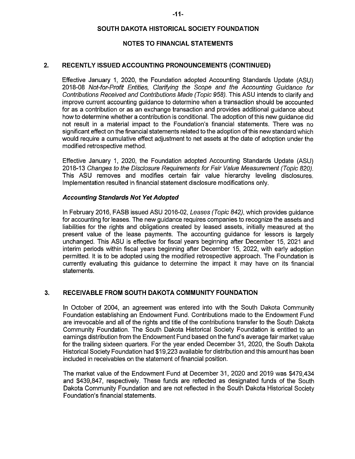#### NOTES TO FINANCIAL STATEMENTS

### 2. RECENTLY ISSUED ACCOUNTING PRONOUNCEMENTS (CONTINUED)

Effective January 1, 2020, the Foundation adopted Accounting Standards Update (ASU) 2018-08 Not-for-Profit Entities, Clarifying the Scope and the Accounting Guidance for Contributions Received and Contributions Made (Topic 958). This ASU intends to clarify and improve current accounting guidance to determine when a transaction should be accounted for as a contribution or as an exchange transaction and provides additional guidance about how to determine whether a contribution is conditional. The adoption of this new guidance did not result in a material impact to the Foundation's financial statements. There was no significant effect on the financial statements related to the adoption of this new standard which would require a cumulative effect adjustment to net assets at the date of adoption under the modified retrospective method.

Effective January 1, 2020, the Foundation adopted Accounting Standards Update (ASU) 2018-13 Changes to the Disdosure Requirements for Fair Value Measurement (Topic 820). This ASU removes and modifies certain fair value hierarchy leveling disclosures. Implementation resulted in financial statement disclosure modifications only.

#### Accounting Standards Not Yet Adopted

In February 2016, FASB issued ASU 2016-02, Leases (Topic 842), which provides guidance for accounting for leases. The new guidance requires companies to recognize the assets and liabilities for the rights and obligations created by leased assets, initially measured at the present value of the lease payments. The accounting guidance for lessors is largely unchanged. This ASU is effective for fiscal years beginning after December 15, 2021 and interim periods within fiscal years beginning after December 15, 2022, with eariy adoption permitted. It is to be adopted using the modified retrospective approach. The Foundation is currently evaluating this guidance to determine the impact it may have on its financial statements.

# 3. RECEIVABLE FROM SOUTH DAKOTA COMMUNITY FOUNDATION

In October of 2004, an agreement was entered info with the South Dakota Community Foundation establishing an Endowment Fund. Contributions made to the Endowment Fund are irrevocable and all of the rights and title of the contributions transfer to the South Dakota Community Foundation. The South Dakota Historical Society Foundation is entitled to an earnings distribution from the Endowment Fund based on the fund's average fair market value for the trailing sixteen quarters. For the year ended December 31, 2020, the South Dakota Historical Society Foundation had \$19,223 available for distribution and this amount has been included in receivables on the statement of financial position.

The market value of the Endowment Fund at December 31 , 2020 and 2019 was \$479,434 and \$439,847, respectively. These funds are reflected as designated funds of the South Dakota Community Foundation and are not reflected in the South Dakota Historical Society Foundation's financial statements.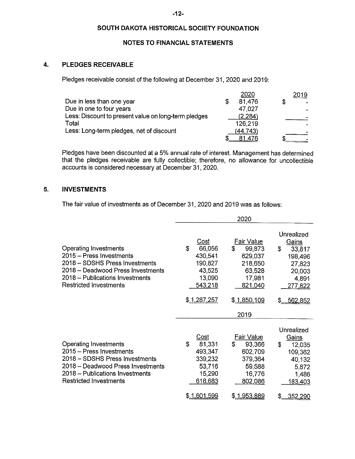# NOTES TO FINANCIAL STATEMENTS

#### $\overline{4}$ . PLEDGES RECEIVABLE

Pledges receivable consist of the following at December 31, 2020 and 2019:

|                                                      | 2020     |   | 2019 |
|------------------------------------------------------|----------|---|------|
| Due in less than one year                            | 81,476   | S |      |
| Due in one to four years                             | 47,027   |   |      |
| Less: Discount to present value on long-term pledges | (2.284)  |   |      |
| Total                                                | 126,219  |   |      |
| Less: Long-term pledges, net of discount             | (44,743) |   |      |
|                                                      |          |   |      |

Pledges have been discounted at a 5% annual rate of interest. Management has determined that the pledges receivable are fully collectible; therefore, no allowance for uncollectible accounts is considered necessary at December 31, 2020.

#### 5. INVESTMENTS

The fair value of investments as of December 31, 2020 and 2019 was as follows:

|                                                                                                                                                                                                     |                                                                                          | 2020                                                                                                  |                                                                                                             |
|-----------------------------------------------------------------------------------------------------------------------------------------------------------------------------------------------------|------------------------------------------------------------------------------------------|-------------------------------------------------------------------------------------------------------|-------------------------------------------------------------------------------------------------------------|
| <b>Operating Investments</b><br>2015 - Press Investments<br>2018 - SDSHS Press Investments<br>2018 - Deadwood Press Investments<br>2018 – Publications Investments<br><b>Restricted Investments</b> | Cost<br>\$<br>66,056<br>430,541<br>190,827<br>43,525<br>13,090<br>543,218<br>\$1,287,257 | Fair Value<br>\$<br>99,873<br>629,037<br>218,650<br>63,528<br>17,981<br>821,040<br>\$ <u>1850,109</u> | Unrealized<br>Gains<br>\$<br>33,817<br>198,496<br>27,823<br>20,003<br>4.891<br><u>277,822</u><br>\$ 562,852 |
| Operating Investments<br>2015 – Press Investments<br>2018 - SDSHS Press Investments<br>2018 - Deadwood Press Investments<br>2018 – Publications Investments<br><b>Restricted Investments</b>        | Cost<br>S<br>81,331<br>493,347<br>339,232<br>53,716<br>15,290<br>618,683                 | 2019<br><b>Fair Value</b><br>£.<br>93,366<br>602,709<br>379,364<br>59,588<br>16,776<br>802,086        | Unrealized<br><b>Gains</b><br>\$<br>12,035<br>109,362<br>40,132<br>5,872<br>1,486<br>183,403                |
|                                                                                                                                                                                                     | \$1.601.599                                                                              | \$1,953,889                                                                                           | \$<br>352,290                                                                                               |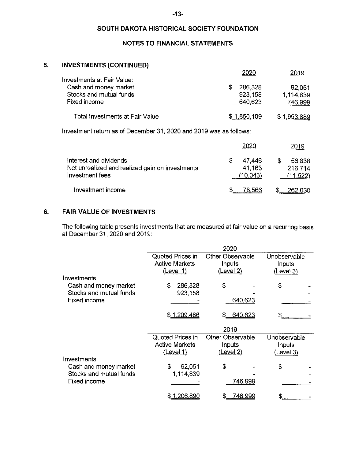# -13-

# SOUTH DAKOTA HISTORICAL SOCIETY FOUNDATION

# NOTES TO FINANCIAL STATEMENTS

#### 5. INVESTMENTS (CONTINUED)

|                                                                                                |                                    | 2019                           |
|------------------------------------------------------------------------------------------------|------------------------------------|--------------------------------|
| Investments at Fair Value:<br>Cash and money market<br>Stocks and mutual funds<br>Fixed income | 286,328<br>S<br>923,158<br>640,623 | 92,051<br>1,114,839<br>746,999 |
| Total Investments at Fair Value                                                                | \$1,850,109                        | \$1,953,889                    |
| Investment return as of December 31, 2020 and 2019 was as follows:                             |                                    |                                |
|                                                                                                |                                    | 2019                           |

|                                                                    | ----               | $\sim$ $\sim$        |
|--------------------------------------------------------------------|--------------------|----------------------|
| Interest and dividends                                             | 47,446             | 56,838               |
| Net unrealized and realized gain on investments<br>Investment fees | 41 163<br>(10.043) | 216,714<br>(11, 522) |
| Investment income                                                  | 78.566             | 262.030              |

#### $6.$ FAtR VALUE OF INVESTMENTS

The following table presents investments that are measured at fair value on a recurring basis at December 31, 2020 and 2019:

|                                                  |                                                  | 2020                              |                        |
|--------------------------------------------------|--------------------------------------------------|-----------------------------------|------------------------|
|                                                  | Quoted Prices in<br><b>Active Markets</b>        | <b>Other Observable</b><br>Inputs | Unobservable<br>Inputs |
| Investments                                      | <u>(Level 1)</u>                                 | (Level 2)                         | (Level 3)              |
| Cash and money market<br>Stocks and mutual funds | 286,328<br>\$<br>923,158                         | \$                                | \$                     |
| Fixed income                                     |                                                  | 640,623                           |                        |
|                                                  | \$1,209,486                                      | 640,623<br>\$.                    |                        |
|                                                  |                                                  | 2019                              |                        |
|                                                  | <b>Quoted Prices in</b><br><b>Active Markets</b> | <b>Other Observable</b><br>Inputs | Unobservable<br>Inputs |
| Investments                                      | (Level 1)                                        | (Level 2)                         | (Level 3)              |
| Cash and money market<br>Stocks and mutual funds | 92.051<br>\$<br>1,114,839                        | \$                                | \$                     |
| Fixed income                                     |                                                  | <u>746,999</u>                    |                        |
|                                                  | <u>\$ 1,206,890</u>                              | <u>746,999</u><br>S               |                        |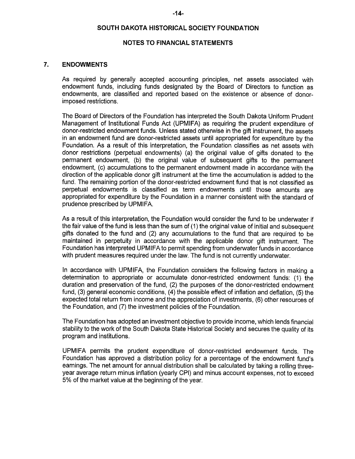# NOTES TO FINANCIAL STATEMENTS

### 7. ENDOWMENTS

As required by generally accepted accounting principles, net assets associated with endowment funds, including funds designated by the Board of Directors to function as endowments, are classified and reported based on the existence or absence of donorimposed restrictions.

The Board of Directors of the Foundation has interpreted the South Dakota Uniform Prudent Management of Institutional Funds Act (UPMIFA) as requiring the prudent expenditure of donor-restricted endowment funds. Unless stated otherwise in the gift instrument, the assets in an endowment fund are donor-restricted assets until appropriated for expenditure by the Foundation. As a result of this interpretation, the Foundation classifies as net assets with donor restrictions (perpetual endowments) (a) the original value of gifts donated to the permanent endowment, (b) the original value of subsequent gifts to the permanent endowment, (c) accumulations to the permanent endowment made in accordance with the direction of the applicable donor gift instrument at the time the accumulation is added to the fund. The remaining portion of the donor-restricted endowment fund that is not classified as perpetual endowments is classified as term endowments until those amounts are appropriated for expenditure by the Foundation in a manner consistent with the standard of prudence prescribed by UPMIFA.

As a result of this interpretation, the Foundation would consider the fund to be underwater if the fair value of the fund is less than the sum of (1) the original value of initial and subsequent gifts donated to the fund and (2) any accumulations to the fund that are required to be maintained in perpetuity in accordance with the applicable donor gift instrument. The Foundation has interpreted UPMIFA to permit spending from underwater funds in accordance with prudent measures required under the law. The fund is not currently underwater.

In accordance with UPMIFA, the Foundation considers the following factors in making a detennination to appropriate or accumulate donor-restricted endowment funds: (1) the duration and preservation of the fund, (2) the purposes of the donor-restricted endowment fund, (3) general economic conditions, (4) the possible effect of inflation and deflation. (5) the expected total return from income and the appreciation of investments, (6) other resources of the Foundation, and (7) the investment policies of the Foundation.

The Foundation has adopted an investment objective to provide income, which lends financial stability to the work of the South Dakota State Historical Society and secures the quality of its program and institutions.

UPMIFA permits the prudent expenditure of donor-restricted endowment funds. The Foundation has approved a distribution policy for a percentage of the endowment fund's earnings. The net amount for annual distribution shall be caiculated by taking a rolling threeyear average return minus inflation (yearly CPI) and minus account expenses, not to exceed 5% of the market value at the beginning of the year.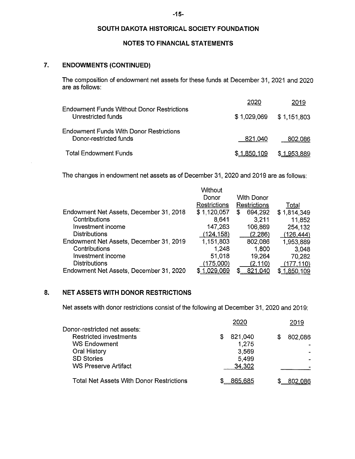# NOTES TO FINANCIAL STATEMENTS

# 7. ENDOWMENTS (CONTINUED)

The composition of endowment net assets for these funds at December 31, 2021 and 2020 are as follows:

|                                                                          | 2020        | 2019        |
|--------------------------------------------------------------------------|-------------|-------------|
| Endowment Funds Without Donor Restrictions<br>Unrestricted funds         | \$1,029.069 | \$1,151,803 |
| <b>Endowment Funds With Donor Restrictions</b><br>Donor-restricted funds | 821,040     | 802,086     |
| <b>Total Endowment Funds</b>                                             | \$1,850,109 | \$1,953,889 |

The changes in endowment net assets as of December 31, 2020 and 2019 are as follows:

|                                         | Without      |               |             |
|-----------------------------------------|--------------|---------------|-------------|
|                                         | Donor        | With Donor    |             |
|                                         | Restrictions | Restrictions  | Total       |
| Endowment Net Assets, December 31, 2018 | \$1,120,057  | 694,292<br>£. | \$1,814,349 |
| Contributions                           | 8,641        | 3,211         | 11,852      |
| Investment income                       | 147,263      | 106,869       | 254,132     |
| <b>Distributions</b>                    | (124, 158)   | (2.286)       | (126, 444)  |
| Endowment Net Assets, December 31, 2019 | 1,151,803    | 802,086       | 1,953,889   |
| Contributions                           | 1,248        | 1,800         | 3,048       |
| Investment income                       | 51,018       | 19,264        | 70,282      |
| <b>Distributions</b>                    | (175,000)    | (2, 110)      | (177, 110)  |
| Endowment Net Assets, December 31, 2020 | \$1,029,069  | 821,040       | \$1,850,109 |
|                                         |              |               |             |

# 8. NET ASSETS WITH DONOR RESTRICTIONS

Net assets with donor restrictions consist of the following at December 31, 2020 and 2019:

|                                          | 2020          | 2019    |
|------------------------------------------|---------------|---------|
| Donor-restricted net assets:             |               |         |
| <b>Restricted investments</b>            | 821,040<br>\$ | 802,086 |
| <b>WS Endowment</b>                      | 1,275         |         |
| Oral History                             | 3,569         |         |
| <b>SD Stories</b>                        | 5,499         |         |
| <b>WS Preserve Artifact</b>              | 34,302        |         |
|                                          |               |         |
| Total Net Assets With Donor Restrictions | 865,685       | 802,086 |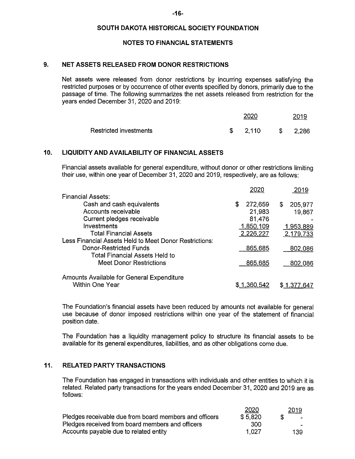### NOTES TO FINANCIAL STATEMENTS

# 9. NET ASSETS RELEASED FROM DONOR RESTRICTIONS

Net assets were released from donor restrictions by incurring expenses satisfying the restricted purposes or by occurrence of other events specified by donors, primarily due to the passage of time. The following summarizes the net assets released from restriction for the years ended December 31, 2020 and 2019:

|                        | 2020  | 2019     |
|------------------------|-------|----------|
| Restricted investments | 2,110 | \$ 2,286 |

# 10. LIQUIDITY AND AVAILABILITY OF FINANCIAL ASSETS

Financial assets available for genera! expenditure, without donor or other restrictions limiting their use, within one year of December 31, 2020 and 2019, respectively, are as follows:

|                                                        | 2020          | 2019          |
|--------------------------------------------------------|---------------|---------------|
| <b>Financial Assets:</b>                               |               |               |
| Cash and cash equivalents                              | \$<br>272,659 | 205,977<br>S. |
| Accounts receivable                                    | 21,983        | 19,867        |
| Current pledges receivable                             | 81,476        |               |
| Investments                                            | 1,850,109     | 1,953,889     |
| <b>Total Financial Assets</b>                          | 2,226,227     | 2,179,733     |
| Less Financial Assets Held to Meet Donor Restrictions: |               |               |
| Donor-Restricted Funds                                 | 865,685       | 802,086       |
| <b>Total Financial Assets Held to</b>                  |               |               |
| Meet Donor Restrictions                                | 865,685       | 802,086       |
| Amounts Available for General Expenditure              |               |               |
| <b>Within One Year</b>                                 | 1.360.542     |               |

The Foundation's financial assets have been reduced by amounts not available for general use because of donor imposed restrictions within one year of the statement of financial position date.

The Foundation has a iiquidity management policy to structure its financial assets to be available for its general expenditures, liabilities, and as other obligations come due,

# 11. RELATED PARTY TRANSACTIONS

The Foundation has engaged in transactions with individuals and other entities to which it is related. Related party transactions for the years ended December 31 , 2020 and 2019 are as follows:

|                                                        | 2020    | 2019   |
|--------------------------------------------------------|---------|--------|
| Pledges receivable due from board members and officers | \$5,820 | $\sim$ |
| Pledges received from board members and officers       | .300    |        |
| Accounts payable due to related entity                 | 1.027   | 139    |